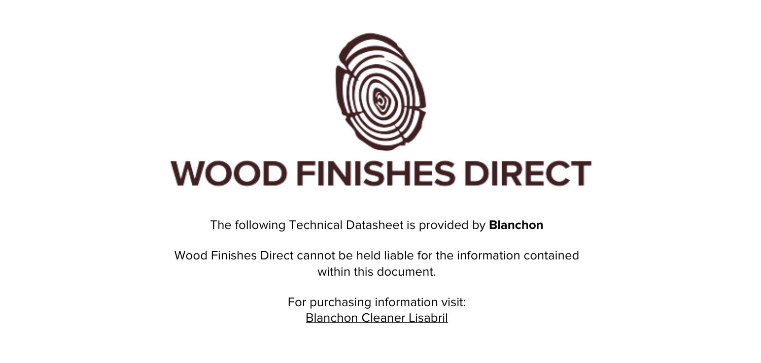

The following Technical Datasheet is provided by **Blanchon**

Wood Finishes Direct cannot be held liable for the information contained within this document

> For purchasing information visit: [Blanchon Cleaner Lisabril](https://www.wood-finishes-direct.com/product/blanchon-cleaner-lisabril)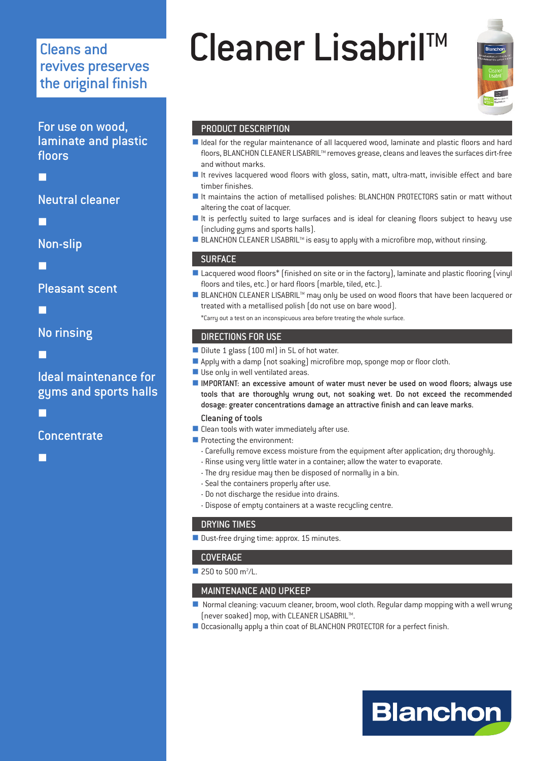## revives preserves the original finish

For use on wood, laminate and plastic floors

Ξ

#### Neutral cleaner

Ξ

Non-slip

Ξ

Pleasant scent

Ξ

No rinsing

Ξ

#### Ideal maintenance for gyms and sports halls

Ξ

**Concentrate** 

I.

# Cleans and **Cleaner Lisabril**<sup>TM</sup>



#### PRODUCT DESCRIPTION

- I Ideal for the regular maintenance of all lacquered wood, laminate and plastic floors and hard floors, BLANCHON CLEANER LISABRIL™ removes grease, cleans and leaves the surfaces dirt-free and without marks.
- It revives lacquered wood floors with gloss, satin, matt, ultra-matt, invisible effect and bare timber finishes.
- It maintains the action of metallised polishes: BLANCHON PROTECTORS satin or matt without altering the coat of lacquer.
- It is perfectly suited to large surfaces and is ideal for cleaning floors subject to heavy use (including gyms and sports halls).
- $\blacksquare$  BLANCHON CLEANER LISABRIL<sup>TM</sup> is easy to apply with a microfibre mop, without rinsing.

#### **SURFACE**

- Lacquered wood floors\* (finished on site or in the factory), laminate and plastic flooring (vinyl floors and tiles, etc.) or hard floors (marble, tiled, etc.).
- BLANCHON CLEANER LISABRIL<sup>™</sup> may only be used on wood floors that have been lacquered or treated with a metallised polish (do not use on bare wood).

\*Carry out a test on an inconspicuous area before treating the whole surface.

#### DIRECTIONS FOR USE

- Dilute 1 glass (100 ml) in 5L of hot water.
- Apply with a damp (not soaking) microfibre mop, sponge mop or floor cloth.
- Use only in well ventilated areas.
- IMPORTANT: an excessive amount of water must never be used on wood floors; alwaus use tools that are thoroughly wrung out, not soaking wet. Do not exceed the recommended dosage: greater concentrations damage an attractive finish and can leave marks.

#### Cleaning of tools

- $\blacksquare$  Clean tools with water immediately after use.
- Protecting the environment:
- Carefully remove excess moisture from the equipment after application; dry thoroughly.
- Rinse using very little water in a container; allow the water to evaporate.
- -The dry residue may then be disposed of normally in a bin.
- Seal the containers properly after use.
- Do not discharge the residue into drains.
- Dispose of empty containers at a waste recycling centre.

#### DRYING TIMES

Dust-free drying time: approx. 15 minutes.

#### COVERAGE

 $\blacksquare$  250 to 500 m<sup>2</sup>/L.

#### MAINTENANCE AND UPKEEP

- Normal cleaning: vacuum cleaner, broom, wool cloth. Regular damp mopping with a well wrung (never soaked) mop, with CLEANER LISABRIL™.
- Occasionally apply a thin coat of BLANCHON PROTECTOR for a perfect finish.